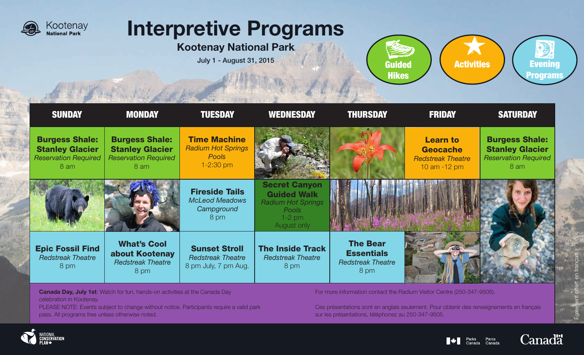

# Interpretive Programs

Kootenay National Park

July 1 - August 31, 2015 Guided





**Canada Day, July 1st:** Watch for fun, hands-on activities at the Canada Day celebration in Kootenay.

PLEASE NOTE: Events subject to change without notice. Participants require a valid park pass. All programs free unless otherwise noted.

For more information contact the Radium Visitor Centre (250-347-9505).

Ces présentations sont en anglais seulement. Pour obtenir des renseignements en français sur les présentations, téléphonez au 250-347-9505.